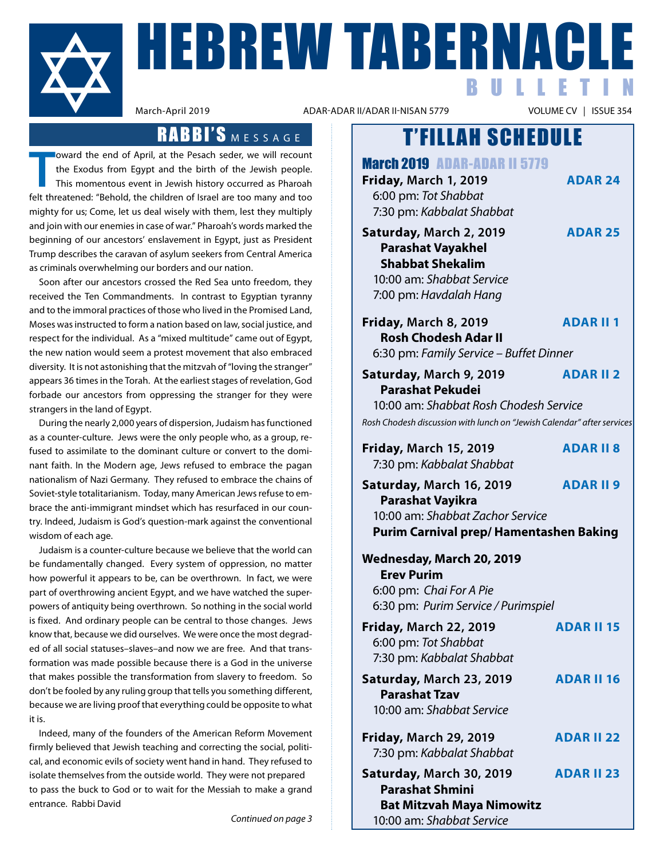

**HEBREW TABERNACLE** BULLETIN

ADAR-ADAR II/ADAR II-NISAN 5779

## RABBI'S MESSAGE

**T** felt threatened: "Behold, the children of Israel are too many and too oward the end of April, at the Pesach seder, we will recount the Exodus from Egypt and the birth of the Jewish people. This momentous event in Jewish history occurred as Pharoah mighty for us; Come, let us deal wisely with them, lest they multiply and join with our enemies in case of war." Pharoah's words marked the beginning of our ancestors' enslavement in Egypt, just as President Trump describes the caravan of asylum seekers from Central America as criminals overwhelming our borders and our nation.

Soon after our ancestors crossed the Red Sea unto freedom, they received the Ten Commandments. In contrast to Egyptian tyranny and to the immoral practices of those who lived in the Promised Land, Moses was instructed to form a nation based on law, social justice, and respect for the individual. As a "mixed multitude" came out of Egypt, the new nation would seem a protest movement that also embraced diversity. It is not astonishing that the mitzvah of "loving the stranger" appears 36 times in the Torah. At the earliest stages of revelation, God forbade our ancestors from oppressing the stranger for they were strangers in the land of Egypt.

 During the nearly 2,000 years of dispersion, Judaism has functioned as a counter-culture. Jews were the only people who, as a group, refused to assimilate to the dominant culture or convert to the dominant faith. In the Modern age, Jews refused to embrace the pagan nationalism of Nazi Germany. They refused to embrace the chains of Soviet-style totalitarianism. Today, many American Jews refuse to embrace the anti-immigrant mindset which has resurfaced in our country. Indeed, Judaism is God's question-mark against the conventional wisdom of each age.

Judaism is a counter-culture because we believe that the world can be fundamentally changed. Every system of oppression, no matter how powerful it appears to be, can be overthrown. In fact, we were part of overthrowing ancient Egypt, and we have watched the superpowers of antiquity being overthrown. So nothing in the social world is fixed. And ordinary people can be central to those changes. Jews know that, because we did ourselves. We were once the most degraded of all social statuses–slaves–and now we are free. And that transformation was made possible because there is a God in the universe that makes possible the transformation from slavery to freedom. So don't be fooled by any ruling group that tells you something different, because we are living proof that everything could be opposite to what it is.

Indeed, many of the founders of the American Reform Movement firmly believed that Jewish teaching and correcting the social, political, and economic evils of society went hand in hand. They refused to isolate themselves from the outside world. They were not prepared to pass the buck to God or to wait for the Messiah to make a grand entrance. Rabbi David

*Continued on page 3*

## T'FILLAH SCHEDULE

March 2019 ADAR-ADAR II 5779

**Friday, March 1, 2019 ADAR 24**  6:00 pm: *Tot Shabbat* 7:30 pm: *Kabbalat Shabbat*

**Saturday, March 2, 2019 ADar 25 Parashat Vayakhel Shabbat Shekalim** 10:00 am: *Shabbat Service*

7:00 pm: *Havdalah Hang*

**Friday, March 8, 2019 ADAR II 1**

 **Rosh Chodesh Adar II** 6:30 pm: *Family Service – Buffet Dinner*

| Saturday, March 9, 2019 | <b>ADAR II 2</b> |
|-------------------------|------------------|
| <b>Parashat Pekudei</b> |                  |

 10:00 am: *Shabbat Rosh Chodesh Service Rosh Chodesh discussion with lunch on "Jewish Calendar" after services*

| <b>Friday, March 15, 2019</b><br>7:30 pm: Kabbalat Shabbat                                                                 | <b>ADAR II 8</b>  |
|----------------------------------------------------------------------------------------------------------------------------|-------------------|
| Saturday, March 16, 2019<br>Parashat Vayikra<br>10:00 am: Shabbat Zachor Service<br>Purim Carnival prep/Hamentashen Baking | <b>ADARII 9</b>   |
| Wednesday, March 20, 2019<br><b>Erev Purim</b><br>6:00 pm: Chai For A Pie<br>6:30 pm: Purim Service / Purimspiel           |                   |
| <b>Friday, March 22, 2019</b><br>6:00 pm: Tot Shabbat<br>7:30 pm: Kabbalat Shabbat                                         | <b>ADAR II 15</b> |
| Saturday, March 23, 2019<br><b>Parashat Tzav</b><br>10:00 am: Shabbat Service                                              | <b>ADAR II 16</b> |
| <b>Friday, March 29, 2019</b><br>7:30 pm: Kabbalat Shabbat                                                                 | <b>ADAR II 22</b> |

**Saturday, March 30, 2019 ADAR II 23 Parashat Shmini Bat Mitzvah Maya Nimowitz** 10:00 am: *Shabbat Service*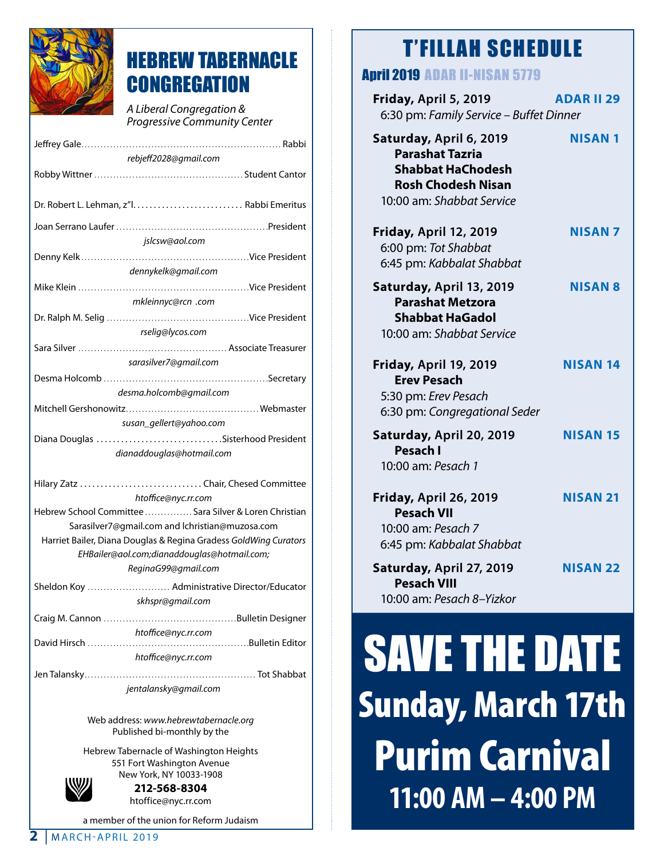

# HEBREW TABERNACLE **CONGREGATION**

*A Liberal Congregation & Progressive Community Center*

| rebjeff2028@gmail.com                                                                                           |  |  |
|-----------------------------------------------------------------------------------------------------------------|--|--|
|                                                                                                                 |  |  |
|                                                                                                                 |  |  |
|                                                                                                                 |  |  |
|                                                                                                                 |  |  |
| jslcsw@aol.com                                                                                                  |  |  |
|                                                                                                                 |  |  |
| dennykelk@gmail.com                                                                                             |  |  |
|                                                                                                                 |  |  |
| mkleinnyc@rcn .com                                                                                              |  |  |
|                                                                                                                 |  |  |
| rselig@lycos.com                                                                                                |  |  |
|                                                                                                                 |  |  |
| sarasilver7@gmail.com                                                                                           |  |  |
|                                                                                                                 |  |  |
| desma.holcomb@gmail.com                                                                                         |  |  |
|                                                                                                                 |  |  |
| susan_gellert@yahoo.com                                                                                         |  |  |
| Diana Douglas Sisterhood President                                                                              |  |  |
| dianaddouglas@hotmail.com                                                                                       |  |  |
|                                                                                                                 |  |  |
| Hilary Zatz  Chair, Chesed Committee                                                                            |  |  |
| htoffice@nyc.rr.com                                                                                             |  |  |
| Hebrew School Committee  Sara Silver & Loren Christian                                                          |  |  |
| Sarasilver7@gmail.com and lchristian@muzosa.com                                                                 |  |  |
| Harriet Bailer, Diana Douglas & Regina Gradess GoldWing Curators<br>EHBailer@aol.com;dianaddouglas@hotmail.com; |  |  |
| ReginaG99@gmail.com                                                                                             |  |  |
| Sheldon Koy  Administrative Director/Educator                                                                   |  |  |
| skhspr@gmail.com                                                                                                |  |  |
|                                                                                                                 |  |  |
| htoffice@nyc.rr.com                                                                                             |  |  |
|                                                                                                                 |  |  |
| htoffice@nyc.rr.com                                                                                             |  |  |
|                                                                                                                 |  |  |
| jentalansky@gmail.com                                                                                           |  |  |

Web address: *www.hebrewtabernacle.org* Published bi-monthly by the

Hebrew Tabernacle of Washington Heights 551 Fort Washington Avenue New York, NY 10033-1908



**212-568-8304** htoffice@nyc.rr.com

a member of the union for Reform Judaism

# T'FILLAH SCHEDULE

## April 2019 ADAR II-NISAN 5779

| Friday, April 5, 2019<br>6:30 pm: Family Service - Buffet Dinner                                                                        | <b>ADAR II 29</b> |
|-----------------------------------------------------------------------------------------------------------------------------------------|-------------------|
| Saturday, April 6, 2019<br><b>Parashat Tazria</b><br><b>Shabbat HaChodesh</b><br><b>Rosh Chodesh Nisan</b><br>10:00 am: Shabbat Service | <b>NISAN 1</b>    |
| Friday, April 12, 2019<br>6:00 pm: Tot Shabbat<br>6:45 pm: Kabbalat Shabbat                                                             | <b>NISAN7</b>     |
| Saturday, April 13, 2019<br><b>Parashat Metzora</b><br><b>Shabbat HaGadol</b><br>10:00 am: Shabbat Service                              | <b>NISAN 8</b>    |
| Friday, April 19, 2019<br><b>Erev Pesach</b><br>5:30 pm: Erev Pesach<br>6:30 pm: Congregational Seder                                   | <b>NISAN 14</b>   |
| Saturday, April 20, 2019<br><b>Pesach I</b><br>10:00 am: Pesach 1                                                                       | <b>NISAN 15</b>   |
| Friday, April 26, 2019<br><b>Pesach VII</b><br>10:00 am: Pesach 7<br>6:45 pm: Kabbalat Shabbat                                          | <b>NISAN 21</b>   |
| Saturday, April 27, 2019<br><b>Pesach VIII</b><br>10:00 am: Pesach 8-Yizkor                                                             | <b>NISAN 22</b>   |

# SAVE THE DATE Sunday, March 17th Purim Carnival **11:00 AM – 4:00 PM**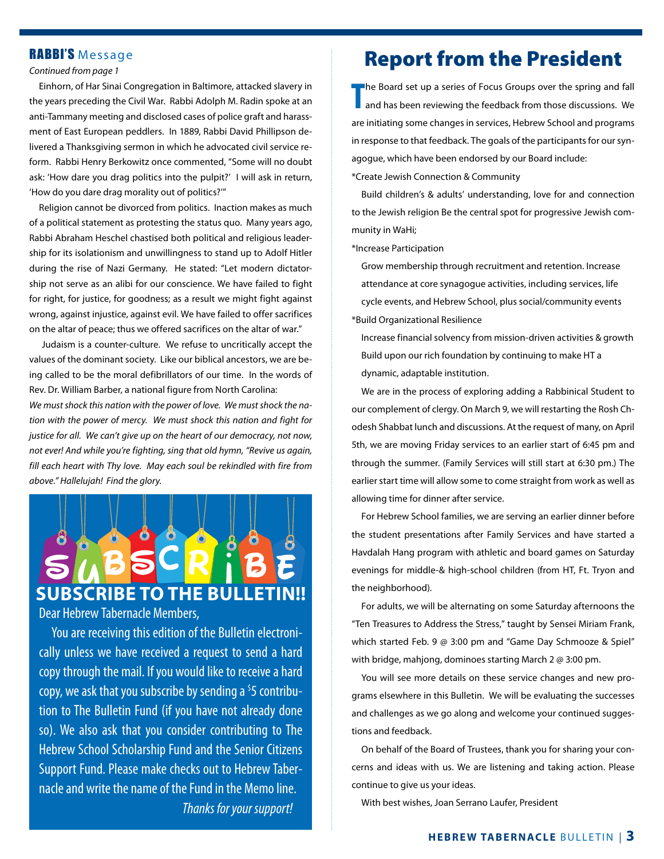## RABBI'S Message

#### *Continued from page 1*

Einhorn, of Har Sinai Congregation in Baltimore, attacked slavery in the years preceding the Civil War. Rabbi Adolph M. Radin spoke at an anti-Tammany meeting and disclosed cases of police graft and harassment of East European peddlers. In 1889, Rabbi David Phillipson delivered a Thanksgiving sermon in which he advocated civil service reform. Rabbi Henry Berkowitz once commented, "Some will no doubt ask: 'How dare you drag politics into the pulpit?' I will ask in return, 'How do you dare drag morality out of politics?'"

 Religion cannot be divorced from politics. Inaction makes as much of a political statement as protesting the status quo. Many years ago, Rabbi Abraham Heschel chastised both political and religious leadership for its isolationism and unwillingness to stand up to Adolf Hitler during the rise of Nazi Germany. He stated: "Let modern dictatorship not serve as an alibi for our conscience. We have failed to fight for right, for justice, for goodness; as a result we might fight against wrong, against injustice, against evil. We have failed to offer sacrifices on the altar of peace; thus we offered sacrifices on the altar of war."

 Judaism is a counter-culture. We refuse to uncritically accept the values of the dominant society. Like our biblical ancestors, we are being called to be the moral defibrillators of our time. In the words of Rev. Dr. William Barber, a national figure from North Carolina:

*We must shock this nation with the power of love. We must shock the nation with the power of mercy. We must shock this nation and fight for justice for all. We can't give up on the heart of our democracy, not now, not ever! And while you're fighting, sing that old hymn, "Revive us again, fill each heart with Thy love. May each soul be rekindled with fire from above." Hallelujah! Find the glory.*



 You are receiving this edition of the Bulletin electronically unless we have received a request to send a hard copy through the mail. If you would like to receive a hard copy, we ask that you subscribe by sending a <sup>\$</sup>5 contribution to The Bulletin Fund (if you have not already done so). We also ask that you consider contributing to The Hebrew School Scholarship Fund and the Senior Citizens Support Fund. Please make checks out to Hebrew Tabernacle and write the name of the Fund in the Memo line. *Thanks for your support!*

## Report from the President

**T** he Board set up a series of Focus Groups over the spring and fall and has been reviewing the feedback from those discussions. We are initiating some changes in services, Hebrew School and programs in response to that feedback. The goals of the participants for our synagogue, which have been endorsed by our Board include: \*Create Jewish Connection & Community

Build children's & adults' understanding, love for and connection to the Jewish religion Be the central spot for progressive Jewish community in WaHi;

\*Increase Participation

Grow membership through recruitment and retention. Increase attendance at core synagogue activities, including services, life cycle events, and Hebrew School, plus social/community events \*Build Organizational Resilience

Increase financial solvency from mission-driven activities & growth Build upon our rich foundation by continuing to make HT a dynamic, adaptable institution.

We are in the process of exploring adding a Rabbinical Student to our complement of clergy. On March 9, we will restarting the Rosh Chodesh Shabbat lunch and discussions. At the request of many, on April 5th, we are moving Friday services to an earlier start of 6:45 pm and through the summer. (Family Services will still start at 6:30 pm.) The earlier start time will allow some to come straight from work as well as allowing time for dinner after service.

For Hebrew School families, we are serving an earlier dinner before the student presentations after Family Services and have started a Havdalah Hang program with athletic and board games on Saturday evenings for middle-& high-school children (from HT, Ft. Tryon and the neighborhood).

For adults, we will be alternating on some Saturday afternoons the "Ten Treasures to Address the Stress," taught by Sensei Miriam Frank, which started Feb. 9 @ 3:00 pm and "Game Day Schmooze & Spiel" with bridge, mahjong, dominoes starting March 2 @ 3:00 pm.

You will see more details on these service changes and new programs elsewhere in this Bulletin. We will be evaluating the successes and challenges as we go along and welcome your continued suggestions and feedback.

On behalf of the Board of Trustees, thank you for sharing your concerns and ideas with us. We are listening and taking action. Please continue to give us your ideas.

With best wishes, Joan Serrano Laufer, President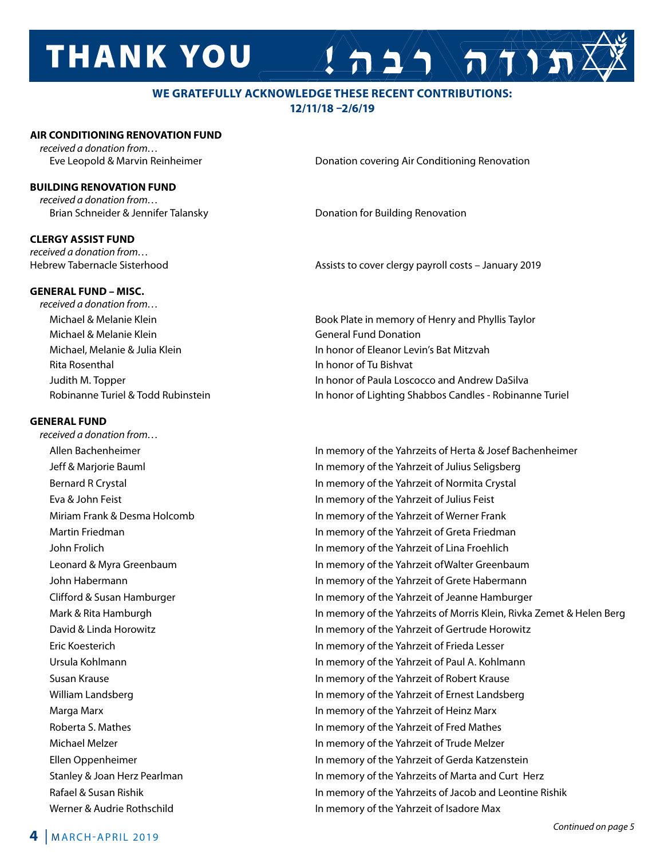# **THANK YOU**

## **WE GRATEFULLY ACKNOWLEDGE THESE RECENT CONTRIBUTIONS: 12/11/18 –2/6/19**

#### **AIR CONDITIONING RENOVATION FUND**

*received a donation from…*

### **BUILDING RENOVATION FUND**

*received a donation from…* Brian Schneider & Jennifer Talansky **Denation for Building Renovation** 

## **CLERGY ASSIST FUND**

*received a donation from…*

Eve Leopold & Marvin Reinheimer Donation covering Air Conditioning Renovation

 $A 22$ 

Hebrew Tabernacle Sisterhood Assists to cover clergy payroll costs – January 2019

**GENERAL FUND – MISC.** *received a donation from…*  Michael & Melanie Klein General Fund Donation Rita Rosenthal In honor of Tu Bishvat

#### **GENERAL FUND**

*received a donation from…*

Michael & Melanie Klein **Book Plate in memory of Henry and Phyllis Taylor** Book Plate in memory of Henry and Phyllis Taylor Michael, Melanie & Julia Klein **In honor of Eleanor Levin's Bat Mitzvah**  Judith M. Topper In honor of Paula Loscocco and Andrew DaSilva Robinanne Turiel & Todd Rubinstein In honor of Lighting Shabbos Candles - Robinanne Turiel

Allen Bachenheimer **In memory of the Yahrzeits of Herta & Josef Bachenheimer In memory of the Yahrzeits of Herta & Josef Bachenheimer**  Jeff & Marjorie Bauml In memory of the Yahrzeit of Julius Seligsberg Bernard R Crystal In memory of the Yahrzeit of Normita Crystal Eva & John Feist In memory of the Yahrzeit of Julius Feist Miriam Frank & Desma Holcomb In memory of the Yahrzeit of Werner Frank Martin Friedman In memory of the Yahrzeit of Greta Friedman John Frolich In memory of the Yahrzeit of Lina Froehlich Leonard & Myra Greenbaum In memory of the Yahrzeit ofWalter Greenbaum John Habermann In memory of the Yahrzeit of Grete Habermann Clifford & Susan Hamburger In memory of the Yahrzeit of Jeanne Hamburger Mark & Rita Hamburgh **In memory of the Yahrzeits of Morris Klein**, Rivka Zemet & Helen Berg David & Linda Horowitz In memory of the Yahrzeit of Gertrude Horowitz Eric Koesterich In memory of the Yahrzeit of Frieda Lesser Ursula Kohlmann In memory of the Yahrzeit of Paul A. Kohlmann Susan Krause In memory of the Yahrzeit of Robert Krause William Landsberg **In memory of the Yahrzeit of Ernest Landsberg** In memory of the Yahrzeit of Ernest Landsberg Marga Marx In memory of the Yahrzeit of Heinz Marx Roberta S. Mathes **In memory of the Yahrzeit of Fred Mathes** In memory of the Yahrzeit of Fred Mathes Michael Melzer In memory of the Yahrzeit of Trude Melzer Ellen Oppenheimer In memory of the Yahrzeit of Gerda Katzenstein Stanley & Joan Herz Pearlman In memory of the Yahrzeits of Marta and Curt Herz Rafael & Susan Rishik **In memory of the Yahrzeits of Jacob and Leontine Rishik In memory of the Yahrzeits of Jacob and Leontine Rishik** Werner & Audrie Rothschild In memory of the Yahrzeit of Isadore Max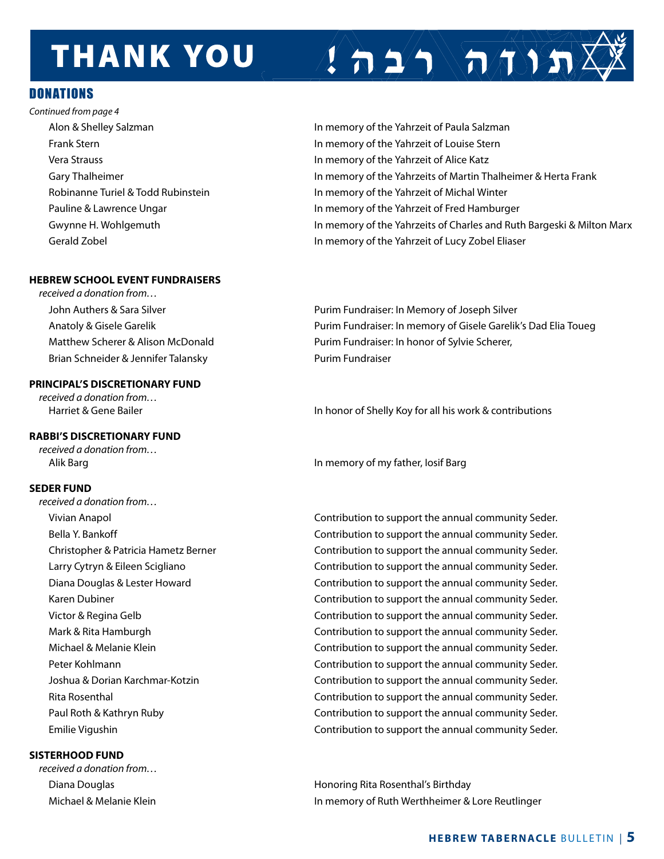# **THANK YOU**

## Donations

*Continued from page 4*

## **HEBREW SCHOOL EVENT FUNDRAISERS**

*received a donation from…*  Brian Schneider & Jennifer Talansky **Purim Fundraiser** 

### **PRINCIPAL'S DISCRETIONARY FUND**

*received a donation from…*

## **RABBI'S DISCRETIONARY FUND**

*received a donation from…*

## **SEDER FUND**

*received a donation from…*

## **SISTERHOOD FUND**

*received a donation from…* 

 Alon & Shelley Salzman In memory of the Yahrzeit of Paula Salzman Frank Stern In memory of the Yahrzeit of Louise Stern Vera Strauss In memory of the Yahrzeit of Alice Katz Gary Thalheimer **In memory of the Yahrzeits of Martin Thalheimer & Herta Frank** Robinanne Turiel & Todd Rubinstein In Memory of the Yahrzeit of Michal Winter Pauline & Lawrence Ungar **In Market Communist Communist Communist Communist Communist Communist Communist Communist Communist Communist Communist Communist Communist Communist Communist Communist Communist Communist Commun** Gwynne H. Wohlgemuth **In memory of the Yahrzeits of Charles and Ruth Bargeski & Milton Marx** Gerald Zobel In memory of the Yahrzeit of Lucy Zobel Eliaser

 $\left( \left. \frac{1}{n} \right)^{n} \right)$ 

John Authers & Sara Silver **Purim Fundraiser: In Memory of Joseph Silver** Purim Fundraiser: In Memory of Joseph Silver Anatoly & Gisele Garelik **Purim Fundraiser: In memory of Gisele Garelik's Dad Elia Toueg** Matthew Scherer & Alison McDonald Purim Fundraiser: In honor of Sylvie Scherer,

Harriet & Gene Bailer **In honor of Shelly Koy for all his work & contributions** 

Alik Barg In memory of my father, Iosif Barg

 Vivian Anapol Contribution to support the annual community Seder. Bella Y. Bankoff **Contribution to support the annual community Seder.**  Christopher & Patricia Hametz Berner Contribution to support the annual community Seder. Larry Cytryn & Eileen Scigliano Contribution to support the annual community Seder. Diana Douglas & Lester Howard Contribution to support the annual community Seder. Karen Dubiner **Contribution to support the annual community Seder.**  Victor & Regina Gelb Contribution to support the annual community Seder. Mark & Rita Hamburgh **Contribution to support the annual community Seder.**  Michael & Melanie Klein Contribution to support the annual community Seder. Peter Kohlmann Contribution to support the annual community Seder. Joshua & Dorian Karchmar-Kotzin Contribution to support the annual community Seder. Rita Rosenthal Contribution to support the annual community Seder. Paul Roth & Kathryn Ruby Contribution to support the annual community Seder. Emilie Vigushin Contribution to support the annual community Seder.

 Diana Douglas Honoring Rita Rosenthal's Birthday Michael & Melanie Klein In memory of Ruth Werthheimer & Lore Reutlinger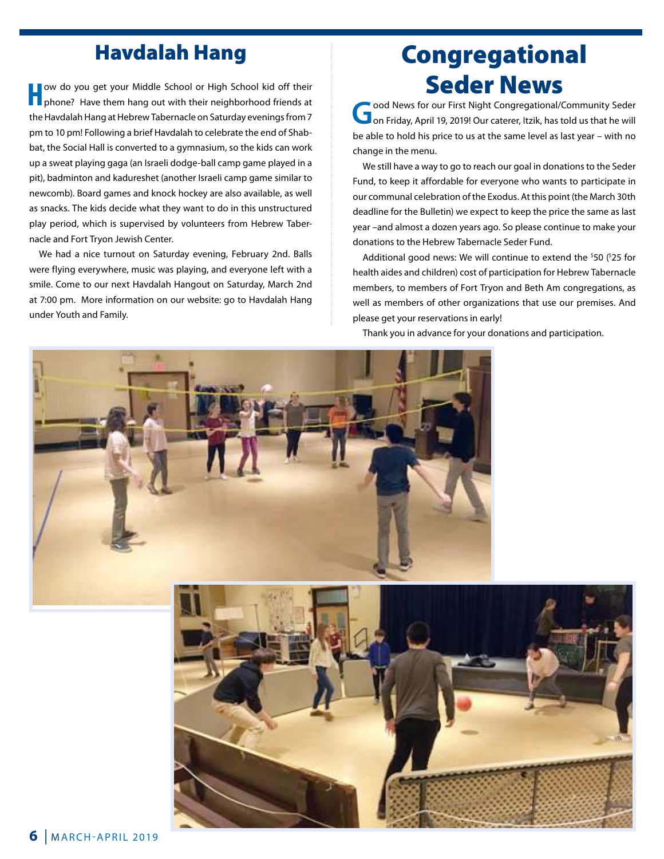## Havdalah Hang

**H**ow do you get your Middle School or High School kid off their<br>
phone? Have them hang out with their neighborhood friends at the Havdalah Hang at Hebrew Tabernacle on Saturday evenings from 7 pm to 10 pm! Following a brief Havdalah to celebrate the end of Shabbat, the Social Hall is converted to a gymnasium, so the kids can work up a sweat playing gaga (an Israeli dodge-ball camp game played in a pit), badminton and kadureshet (another Israeli camp game similar to newcomb). Board games and knock hockey are also available, as well as snacks. The kids decide what they want to do in this unstructured play period, which is supervised by volunteers from Hebrew Tabernacle and Fort Tryon Jewish Center.

We had a nice turnout on Saturday evening, February 2nd. Balls were flying everywhere, music was playing, and everyone left with a smile. Come to our next Havdalah Hangout on Saturday, March 2nd at 7:00 pm. More information on our website: go to Havdalah Hang under Youth and Family.

# Congregational **Seder News**<br> **Seder News for our First Night Congregational/Community Seder**

**G**ood News for our First Night Congregational/Community Seder<br>
on Friday, April 19, 2019! Our caterer, Itzik, has told us that he will be able to hold his price to us at the same level as last year – with no change in the menu.

We still have a way to go to reach our goal in donations to the Seder Fund, to keep it affordable for everyone who wants to participate in our communal celebration of the Exodus. At this point (the March 30th deadline for the Bulletin) we expect to keep the price the same as last year –and almost a dozen years ago. So please continue to make your donations to the Hebrew Tabernacle Seder Fund.

Additional good news: We will continue to extend the <sup>\$</sup>50 (<sup>\$</sup>25 for health aides and children) cost of participation for Hebrew Tabernacle members, to members of Fort Tryon and Beth Am congregations, as well as members of other organizations that use our premises. And please get your reservations in early!

Thank you in advance for your donations and participation.



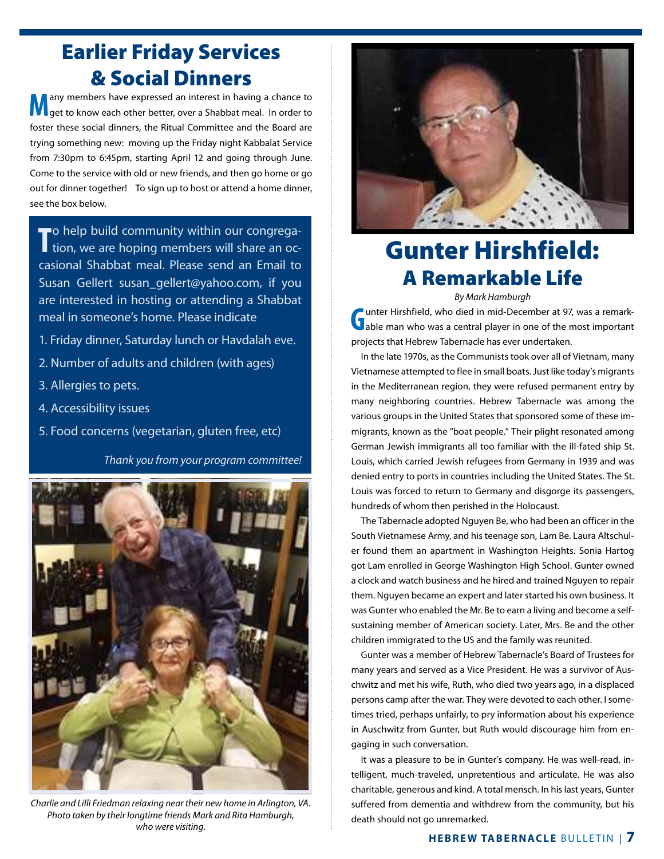# Earlier Friday Services & Social Dinners

**M** any members have expressed an interest in having a chance to get to know each other better, over a Shabbat meal. In order to foster these social dinners, the Ritual Committee and the Board are trying something new: moving up the Friday night Kabbalat Service from 7:30pm to 6:45pm, starting April 12 and going through June. Come to the service with old or new friends, and then go home or go out for dinner together! To sign up to host or attend a home dinner, see the box below.

**T** to help build community within our congrega-<br>tion, we are hoping members will share an oc-**To** help build community within our congregacasional Shabbat meal. Please send an Email to Susan Gellert susan\_gellert@yahoo.com, if you are interested in hosting or attending a Shabbat meal in someone's home. Please indicate

- 1. Friday dinner, Saturday lunch or Havdalah eve.
- 2. Number of adults and children (with ages)
- 3. Allergies to pets.
- 4. Accessibility issues
- 5. Food concerns (vegetarian, gluten free, etc)

*Thank you from your program committee!*



*Charlie and Lilli Friedman relaxing near their new home in Arlington, VA. Photo taken by their longtime friends Mark and Rita Hamburgh, who were visiting.*



# Gunter Hirshfield: A Remarkable Life

*By Mark Hamburgh*

**G**unter Hirshfield, who died in mid-December at 97, was a remark-<br>able man who was a central player in one of the most important projects that Hebrew Tabernacle has ever undertaken.

In the late 1970s, as the Communists took over all of Vietnam, many Vietnamese attempted to flee in small boats. Just like today's migrants in the Mediterranean region, they were refused permanent entry by many neighboring countries. Hebrew Tabernacle was among the various groups in the United States that sponsored some of these immigrants, known as the "boat people." Their plight resonated among German Jewish immigrants all too familiar with the ill-fated ship St. Louis, which carried Jewish refugees from Germany in 1939 and was denied entry to ports in countries including the United States. The St. Louis was forced to return to Germany and disgorge its passengers, hundreds of whom then perished in the Holocaust.

The Tabernacle adopted Nguyen Be, who had been an officer in the South Vietnamese Army, and his teenage son, Lam Be. Laura Altschuler found them an apartment in Washington Heights. Sonia Hartog got Lam enrolled in George Washington High School. Gunter owned a clock and watch business and he hired and trained Nguyen to repair them. Nguyen became an expert and later started his own business. It was Gunter who enabled the Mr. Be to earn a living and become a selfsustaining member of American society. Later, Mrs. Be and the other children immigrated to the US and the family was reunited.

Gunter was a member of Hebrew Tabernacle's Board of Trustees for many years and served as a Vice President. He was a survivor of Auschwitz and met his wife, Ruth, who died two years ago, in a displaced persons camp after the war. They were devoted to each other. I sometimes tried, perhaps unfairly, to pry information about his experience in Auschwitz from Gunter, but Ruth would discourage him from engaging in such conversation.

It was a pleasure to be in Gunter's company. He was well-read, intelligent, much-traveled, unpretentious and articulate. He was also charitable, generous and kind. A total mensch. In his last years, Gunter suffered from dementia and withdrew from the community, but his death should not go unremarked.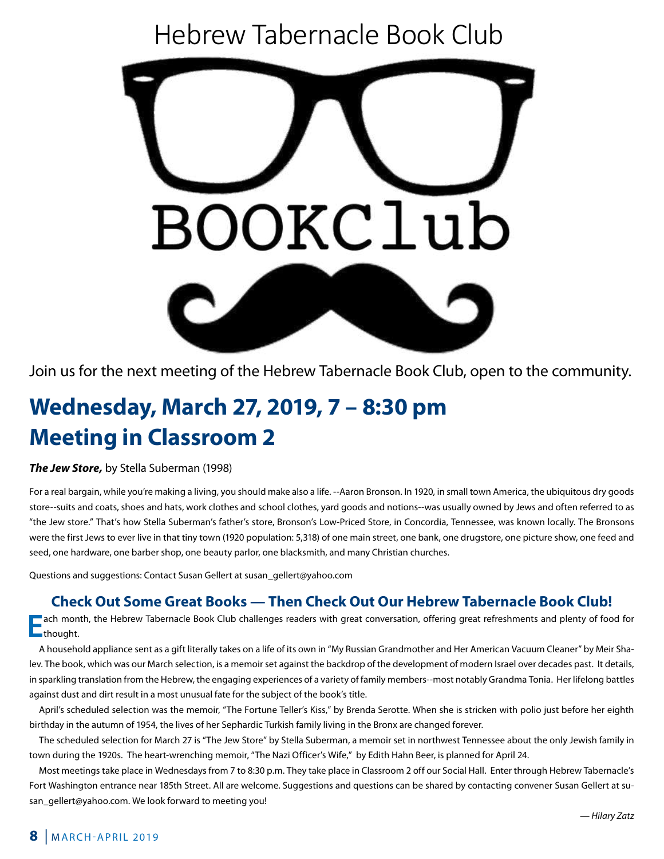# Hebrew Tabernacle Book Club



**Join us for the next meeting of the Hebrew Tabernacle Book Club, open to the community.** Join us for the next meeting of the Hebrew Tabernacle Book Club, open to the community.

## $\mathcal{L}$  ,  $\mathcal{L}$  ,  $\mathcal{L}$  ,  $\mathcal{L}$  ,  $\mathcal{L}$  ,  $\mathcal{L}$  ,  $\mathcal{L}$  ,  $\mathcal{L}$  ,  $\mathcal{L}$  ,  $\mathcal{L}$  ,  $\mathcal{L}$  ,  $\mathcal{L}$  ,  $\mathcal{L}$  ,  $\mathcal{L}$  ,  $\mathcal{L}$  ,  $\mathcal{L}$  ,  $\mathcal{L}$  ,  $\mathcal{L}$  ,  $\mathcal{L}$  ,  $\mathcal{L}$  , Meeting in Classroom 2 **Meeting in Classroom 2 Wednesday, March 27, 2019, 7 – 8:30 pm**

## *The Jew Store*, by Stella Suberman (1998) **Join us for the next meeting of the Hebrew Tabernacle Book Club, open to the community.** *The Jew Store,* by Stella Suberman (1998)

.<br>For a real bargain, while you're making a living, you should make also a life. --Aaron Bronson. In 1920, in small town America, the ubiquitous dry goods end to the store--suits and coats, shoes and hats, work clothes and school clothes, yard goods and notions--was usually owned by Jews and often referred to as school clothes, you clothes and sensor clothes, yard goods and notions- was usually owned by Jews and Jews and Jews and Jews and Jews and Jews and Jews and Jews and Jews and Jews and Jews and Jews and Jews and Jews and Jew at s now Stella Suberman's father's store, Bronson's Low-Priced Store, in Concordia, Tennessee, Wa were the first Jews to ever live in that tiny town (1920 population: 5,318) of one main street, one bank, one drugstore, one picture show, one feed and seed, one hardware, one barber shop, one beauty parlor, one blacksmith, and many Christian churches.<br>. store--suits and coats, snoes and nats, work ciotnes and school clotnes, yard goods and notions--was usually owned by Jews and often referred to as<br>"the Jew store." That's how Stella Suberman's father's store, Bronson's Lo

Questions and suggestions: Contact Susan Gellert at susan\_gellert@yahoo.com  $\mathcal{F}_{\mathcal{F}}$  real bargain, while the making also a line  $\mathcal{F}_{\mathcal{F}}$  and  $\mathcal{F}_{\mathcal{F}}$  are shown.

# **Check Out Some Great Books — Then Check Out Our Hebrew Tabernacle Book Club!**

ach month, the Hebrew Tabernacle Book Club challenges readers with great conversation, offering great refreshments and plenty of food for<br>thought. **thought.** store." That's how Stella Suberman's father's store, Bronson's Low-Priced Store, in Concordia,

A household appliance sent as a gift literally takes on a life of its own in "My Russian Grandmother and Her American Vacuum Cleaner" by Meir Shalev. The book, which was our March selection, is a memoir set against the backdrop of the development of modern Israel over decades past. It details, in sparkling translation from the Hebrew, the engaging experiences of a variety of family members--most notably Grandma Tonia. Her lifelong battles against dust and dirt result in a most unusual fate for the subject of the book's title.

anst adstand antissan mainest andsamate is the susjecter me seems mem.<br>April's scheduled selection was the memoir, "The Fortune Teller's Kiss," by Brenda Serotte. When she is stricken with polio just before her eighth birthday in the autumn of 1954, the lives of her Sephardic Turkish family living in the Bronx are changed forever.

The scheduled selection for March 27 is "The Jew Store" by Stella Suberman, a memoir set in northwest Tennessee about the only Jewish family in town during the 1920s. The heart-wrenching memoir, "The Nazi Officer's Wife," by Edith Hahn Beer, is planned for April 24.

Most meetings take place in Wednesdays from 7 to 8:30 p.m. They take place in Classroom 2 off our Social Hall. Enter through Hebrew Tabernacle's Fort Washington entrance near 185th Street. All are welcome. Suggestions and questions can be shared by contacting convener Susan Gellert at susan\_gellert@yahoo.com. We look forward to meeting you!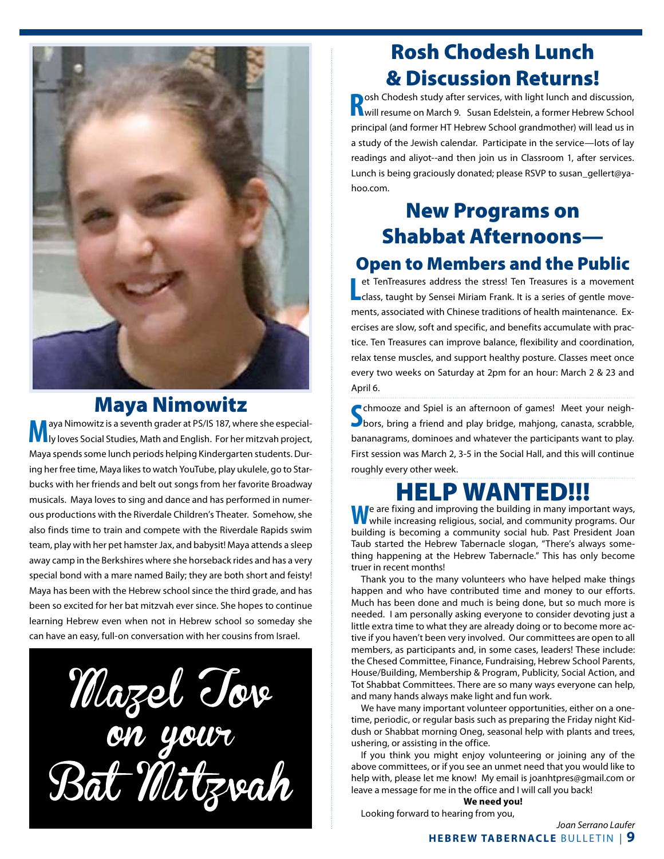

## Maya Nimowitz

**M**aya Nimowitz is a seventh grader at PS/IS 187, where she especial-<br> **M** iy loves Social Studies, Math and English. For her mitzvah project, Maya spends some lunch periods helping Kindergarten students. During her free time, Maya likes to watch YouTube, play ukulele, go to Starbucks with her friends and belt out songs from her favorite Broadway musicals. Maya loves to sing and dance and has performed in numerous productions with the Riverdale Children's Theater. Somehow, she also finds time to train and compete with the Riverdale Rapids swim team, play with her pet hamster Jax, and babysit! Maya attends a sleep away camp in the Berkshires where she horseback rides and has a very special bond with a mare named Baily; they are both short and feisty! Maya has been with the Hebrew school since the third grade, and has been so excited for her bat mitzvah ever since. She hopes to continue learning Hebrew even when not in Hebrew school so someday she can have an easy, full-on conversation with her cousins from Israel.

Mazel Tove<br>on your<br>Bat Mitzvah

# Rosh Chodesh Lunch & Discussion Returns!

**R** osh Chodesh study after services, with light lunch and discussion,<br> **R** will resume on March 9. Susan Edelstein, a former Hebrew School will resume on March 9. Susan Edelstein, a former Hebrew School principal (and former HT Hebrew School grandmother) will lead us in a study of the Jewish calendar. Participate in the service—lots of lay readings and aliyot--and then join us in Classroom 1, after services. Lunch is being graciously donated; please RSVP to susan\_gellert@yahoo.com.

# New Programs on Shabbat Afternoons— Open to Members and the Public

## Let TenTreasures address the stress! Ten Treasures is a movement<br>Leass, taught by Sensei Miriam Frank. It is a series of gentle moveet TenTreasures address the stress! Ten Treasures is a movement ments, associated with Chinese traditions of health maintenance. Exercises are slow, soft and specific, and benefits accumulate with practice. Ten Treasures can improve balance, flexibility and coordination, relax tense muscles, and support healthy posture. Classes meet once every two weeks on Saturday at 2pm for an hour: March 2 & 23 and April 6.

**S** chmooze and Spiel is an afternoon of games! Meet your neigh-<br>Shors, bring a friend and play bridge, mahjong, canasta, scrabble, bors, bring a friend and play bridge, mahjong, canasta, scrabble, bananagrams, dominoes and whatever the participants want to play. First session was March 2, 3-5 in the Social Hall, and this will continue roughly every other week.

# HELP WANTED!!!

We are fixing and improving the building in many important ways,<br>while increasing religious, social, and community programs. Our building is becoming a community social hub. Past President Joan Taub started the Hebrew Tabernacle slogan, "There's always something happening at the Hebrew Tabernacle." This has only become truer in recent months!

Thank you to the many volunteers who have helped make things happen and who have contributed time and money to our efforts. Much has been done and much is being done, but so much more is needed. I am personally asking everyone to consider devoting just a little extra time to what they are already doing or to become more active if you haven't been very involved. Our committees are open to all members, as participants and, in some cases, leaders! These include: the Chesed Committee, Finance, Fundraising, Hebrew School Parents, House/Building, Membership & Program, Publicity, Social Action, and Tot Shabbat Committees. There are so many ways everyone can help, and many hands always make light and fun work.

We have many important volunteer opportunities, either on a onetime, periodic, or regular basis such as preparing the Friday night Kiddush or Shabbat morning Oneg, seasonal help with plants and trees, ushering, or assisting in the office.

If you think you might enjoy volunteering or joining any of the above committees, or if you see an unmet need that you would like to help with, please let me know! My email is joanhtpres@gmail.com or leave a message for me in the office and I will call you back!

**We need you!**

Looking forward to hearing from you,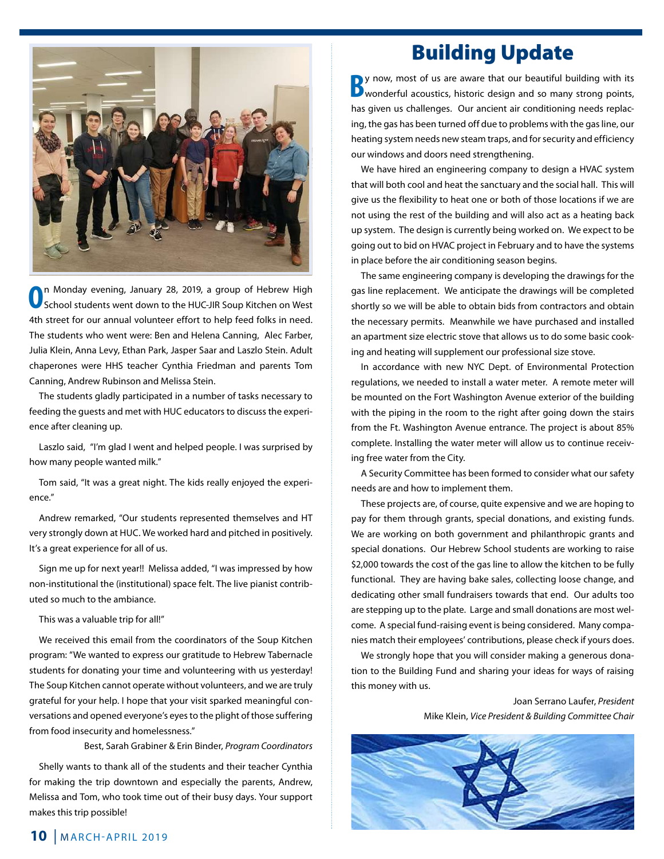

**O**n Monday evening, January 28, 2019, a group of Hebrew High School students went down to the HUC-JIR Soup Kitchen on West 4th street for our annual volunteer effort to help feed folks in need. The students who went were: Ben and Helena Canning, Alec Farber, Julia Klein, Anna Levy, Ethan Park, Jasper Saar and Laszlo Stein. Adult chaperones were HHS teacher Cynthia Friedman and parents Tom Canning, Andrew Rubinson and Melissa Stein.

The students gladly participated in a number of tasks necessary to feeding the guests and met with HUC educators to discuss the experience after cleaning up.

Laszlo said, "I'm glad I went and helped people. I was surprised by how many people wanted milk."

Tom said, "It was a great night. The kids really enjoyed the experience."

Andrew remarked, "Our students represented themselves and HT very strongly down at HUC. We worked hard and pitched in positively. It's a great experience for all of us.

Sign me up for next year!! Melissa added, "I was impressed by how non-institutional the (institutional) space felt. The live pianist contributed so much to the ambiance.

This was a valuable trip for all!"

We received this email from the coordinators of the Soup Kitchen program: "We wanted to express our gratitude to Hebrew Tabernacle students for donating your time and volunteering with us yesterday! The Soup Kitchen cannot operate without volunteers, and we are truly grateful for your help. I hope that your visit sparked meaningful conversations and opened everyone's eyes to the plight of those suffering from food insecurity and homelessness."

Best, Sarah Grabiner & Erin Binder, *Program Coordinators*

Shelly wants to thank all of the students and their teacher Cynthia for making the trip downtown and especially the parents, Andrew, Melissa and Tom, who took time out of their busy days. Your support makes this trip possible!

## Building Update

**B**y now, most of us are aware that our beautiful building with its wonderful acoustics, historic design and so many strong points, has given us challenges. Our ancient air conditioning needs replacing, the gas has been turned off due to problems with the gas line, our heating system needs new steam traps, and for security and efficiency our windows and doors need strengthening.

We have hired an engineering company to design a HVAC system that will both cool and heat the sanctuary and the social hall. This will give us the flexibility to heat one or both of those locations if we are not using the rest of the building and will also act as a heating back up system. The design is currently being worked on. We expect to be going out to bid on HVAC project in February and to have the systems in place before the air conditioning season begins.

The same engineering company is developing the drawings for the gas line replacement. We anticipate the drawings will be completed shortly so we will be able to obtain bids from contractors and obtain the necessary permits. Meanwhile we have purchased and installed an apartment size electric stove that allows us to do some basic cooking and heating will supplement our professional size stove.

In accordance with new NYC Dept. of Environmental Protection regulations, we needed to install a water meter. A remote meter will be mounted on the Fort Washington Avenue exterior of the building with the piping in the room to the right after going down the stairs from the Ft. Washington Avenue entrance. The project is about 85% complete. Installing the water meter will allow us to continue receiving free water from the City.

A Security Committee has been formed to consider what our safety needs are and how to implement them.

These projects are, of course, quite expensive and we are hoping to pay for them through grants, special donations, and existing funds. We are working on both government and philanthropic grants and special donations. Our Hebrew School students are working to raise \$2,000 towards the cost of the gas line to allow the kitchen to be fully functional. They are having bake sales, collecting loose change, and dedicating other small fundraisers towards that end. Our adults too are stepping up to the plate. Large and small donations are most welcome. A special fund-raising event is being considered. Many companies match their employees' contributions, please check if yours does.

We strongly hope that you will consider making a generous donation to the Building Fund and sharing your ideas for ways of raising this money with us.

> Joan Serrano Laufer, *President* Mike Klein, *Vice President & Building Committee Chair*

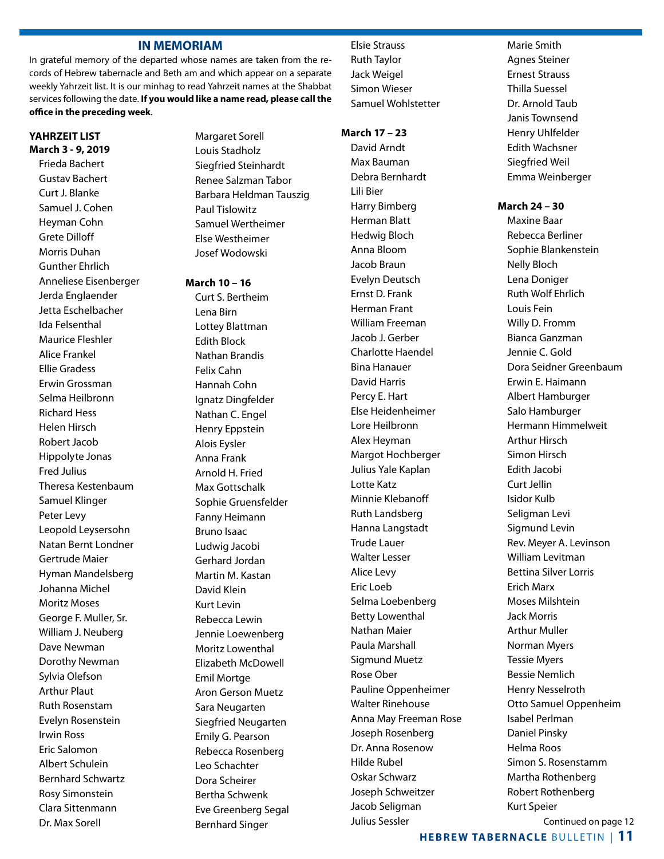### **IN MEMORIAM**

In grateful memory of the departed whose names are taken from the records of Hebrew tabernacle and Beth am and which appear on a separate weekly Yahrzeit list. It is our minhag to read Yahrzeit names at the Shabbat services following the date. **If you would like a name read, please call the office in the preceding week**.

#### **YAHRZEIT LIST March 3 - 9, 2019**

Frieda Bachert Gustav Bachert Curt J. Blanke Samuel J. Cohen Heyman Cohn Grete Dilloff Morris Duhan Gunther Ehrlich Anneliese Eisenberger Jerda Englaender Jetta Eschelbacher Ida Felsenthal Maurice Fleshler Alice Frankel Ellie Gradess Erwin Grossman Selma Heilbronn Richard Hess Helen Hirsch Robert Jacob Hippolyte Jonas Fred Julius Theresa Kestenbaum Samuel Klinger Peter Levy Leopold Leysersohn Natan Bernt Londner Gertrude Maier Hyman Mandelsberg Johanna Michel Moritz Moses George F. Muller, Sr. William J. Neuberg Dave Newman Dorothy Newman Sylvia Olefson Arthur Plaut Ruth Rosenstam Evelyn Rosenstein Irwin Ross Eric Salomon Albert Schulein Bernhard Schwartz Rosy Simonstein Clara Sittenmann Dr. Max Sorell

Margaret Sorell Louis Stadholz Siegfried Steinhardt Renee Salzman Tabor Barbara Heldman Tauszig Paul Tislowitz Samuel Wertheimer Else Westheimer Josef Wodowski

**March 10 – 16** Curt S. Bertheim Lena Birn Lottey Blattman Edith Block Nathan Brandis Felix Cahn Hannah Cohn Ignatz Dingfelder Nathan C. Engel Henry Eppstein Alois Eysler Anna Frank Arnold H. Fried Max Gottschalk Sophie Gruensfelder Fanny Heimann Bruno Isaac Ludwig Jacobi Gerhard Jordan Martin M. Kastan David Klein Kurt Levin Rebecca Lewin Jennie Loewenberg Moritz Lowenthal Elizabeth McDowell Emil Mortge Aron Gerson Muetz Sara Neugarten Siegfried Neugarten Emily G. Pearson Rebecca Rosenberg Leo Schachter Dora Scheirer Bertha Schwenk Eve Greenberg Segal Bernhard Singer

Elsie Strauss Ruth Taylor Jack Weigel Simon Wieser Samuel Wohlstetter

### **March 17 – 23**

 David Arndt Max Bauman Debra Bernhardt Lili Bier Harry Bimberg Herman Blatt Hedwig Bloch Anna Bloom Jacob Braun Evelyn Deutsch Ernst D. Frank Herman Frant William Freeman Jacob J. Gerber Charlotte Haendel Bina Hanauer David Harris Percy E. Hart Else Heidenheimer Lore Heilbronn Alex Heyman Margot Hochberger Julius Yale Kaplan Lotte Katz Minnie Klebanoff Ruth Landsberg Hanna Langstadt Trude Lauer Walter Lesser Alice Levy Eric Loeb Selma Loebenberg Betty Lowenthal Nathan Maier Paula Marshall Sigmund Muetz Rose Ober Pauline Oppenheimer Walter Rinehouse Anna May Freeman Rose Joseph Rosenberg Dr. Anna Rosenow Hilde Rubel Oskar Schwarz Joseph Schweitzer Jacob Seligman Julius Sessler

Marie Smith Agnes Steiner Ernest Strauss Thilla Suessel Dr. Arnold Taub Janis Townsend Henry Uhlfelder Edith Wachsner Siegfried Weil Emma Weinberger

#### **March 24 – 30**

Maxine Baar Rebecca Berliner Sophie Blankenstein Nelly Bloch Lena Doniger Ruth Wolf Ehrlich Louis Fein Willy D. Fromm Bianca Ganzman Jennie C. Gold Dora Seidner Greenbaum Erwin E. Haimann Albert Hamburger Salo Hamburger Hermann Himmelweit Arthur Hirsch Simon Hirsch Edith Jacobi Curt Jellin Isidor Kulb Seligman Levi Sigmund Levin Rev. Meyer A. Levinson William Levitman Bettina Silver Lorris Erich Marx Moses Milshtein Jack Morris Arthur Muller Norman Myers Tessie Myers Bessie Nemlich Henry Nesselroth Otto Samuel Oppenheim Isabel Perlman Daniel Pinsky Helma Roos Simon S. Rosenstamm Martha Rothenberg Robert Rothenberg Kurt Speier

Continued on page 12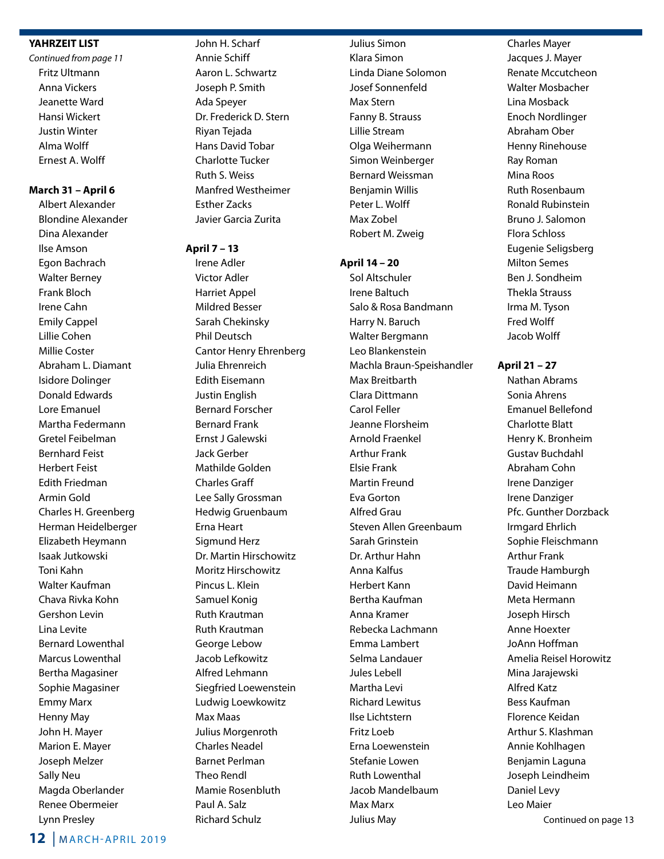### **YAHRZEIT LIST**

*Continued from page 11* Fritz Ultmann Anna Vickers Jeanette Ward Hansi Wickert Justin Winter Alma Wolff Ernest A. Wolff

## **March 31 – April 6**

Albert Alexander Blondine Alexander Dina Alexander Ilse Amson Egon Bachrach Walter Berney Frank Bloch Irene Cahn Emily Cappel Lillie Cohen Millie Coster Abraham L. Diamant Isidore Dolinger Donald Edwards Lore Emanuel Martha Federmann Gretel Feibelman Bernhard Feist Herbert Feist Edith Friedman Armin Gold Charles H. Greenberg Herman Heidelberger Elizabeth Heymann Isaak Jutkowski Toni Kahn Walter Kaufman Chava Rivka Kohn Gershon Levin Lina Levite Bernard Lowenthal Marcus Lowenthal Bertha Magasiner Sophie Magasiner Emmy Marx Henny May John H. Mayer Marion E. Mayer Joseph Melzer Sally Neu Magda Oberlander Renee Obermeier Lynn Presley

John H. Scharf Annie Schiff Aaron L. Schwartz Joseph P. Smith Ada Speyer Dr. Frederick D. Stern Riyan Tejada Hans David Tobar Charlotte Tucker Ruth S. Weiss Manfred Westheimer Esther Zacks Javier Garcia Zurita

#### **April 7 – 13**

Irene Adler Victor Adler Harriet Appel Mildred Besser Sarah Chekinsky Phil Deutsch Cantor Henry Ehrenberg Julia Ehrenreich Edith Eisemann Justin English Bernard Forscher Bernard Frank Ernst J Galewski Jack Gerber Mathilde Golden Charles Graff Lee Sally Grossman Hedwig Gruenbaum Erna Heart Sigmund Herz Dr. Martin Hirschowitz Moritz Hirschowitz Pincus L. Klein Samuel Konig Ruth Krautman Ruth Krautman George Lebow Jacob Lefkowitz Alfred Lehmann Siegfried Loewenstein Ludwig Loewkowitz Max Maas Julius Morgenroth Charles Neadel Barnet Perlman Theo Rendl Mamie Rosenbluth Paul A. Salz Richard Schulz

Julius Simon Klara Simon Linda Diane Solomon Josef Sonnenfeld Max Stern Fanny B. Strauss Lillie Stream Olga Weihermann Simon Weinberger Bernard Weissman Benjamin Willis Peter L. Wolff Max Zobel Robert M. Zweig

#### **April 14 – 20**

Sol Altschuler Irene Baltuch Salo & Rosa Bandmann Harry N. Baruch Walter Bergmann Leo Blankenstein Machla Braun-Speishandler Max Breitbarth Clara Dittmann Carol Feller Jeanne Florsheim Arnold Fraenkel Arthur Frank Elsie Frank Martin Freund Eva Gorton Alfred Grau Steven Allen Greenbaum Sarah Grinstein Dr. Arthur Hahn Anna Kalfus Herbert Kann Bertha Kaufman Anna Kramer Rebecka Lachmann Emma Lambert Selma Landauer Jules Lebell Martha Levi Richard Lewitus Ilse Lichtstern Fritz Loeb Erna Loewenstein Stefanie Lowen Ruth Lowenthal Jacob Mandelbaum Max Marx Julius May

Charles Mayer Jacques J. Mayer Renate Mccutcheon Walter Mosbacher Lina Mosback Enoch Nordlinger Abraham Ober Henny Rinehouse Ray Roman Mina Roos Ruth Rosenbaum Ronald Rubinstein Bruno J. Salomon Flora Schloss Eugenie Seligsberg Milton Semes Ben J. Sondheim Thekla Strauss Irma M. Tyson Fred Wolff Jacob Wolff

**April 21 – 27**

Nathan Abrams Sonia Ahrens Emanuel Bellefond Charlotte Blatt Henry K. Bronheim Gustav Buchdahl Abraham Cohn Irene Danziger Irene Danziger Pfc. Gunther Dorzback Irmgard Ehrlich Sophie Fleischmann Arthur Frank Traude Hamburgh David Heimann Meta Hermann Joseph Hirsch Anne Hoexter JoAnn Hoffman Amelia Reisel Horowitz Mina Jarajewski Alfred Katz Bess Kaufman Florence Keidan Arthur S. Klashman Annie Kohlhagen Benjamin Laguna Joseph Leindheim Daniel Levy Leo Maier Continued on page 13

```
12 | m arch-april 2019
```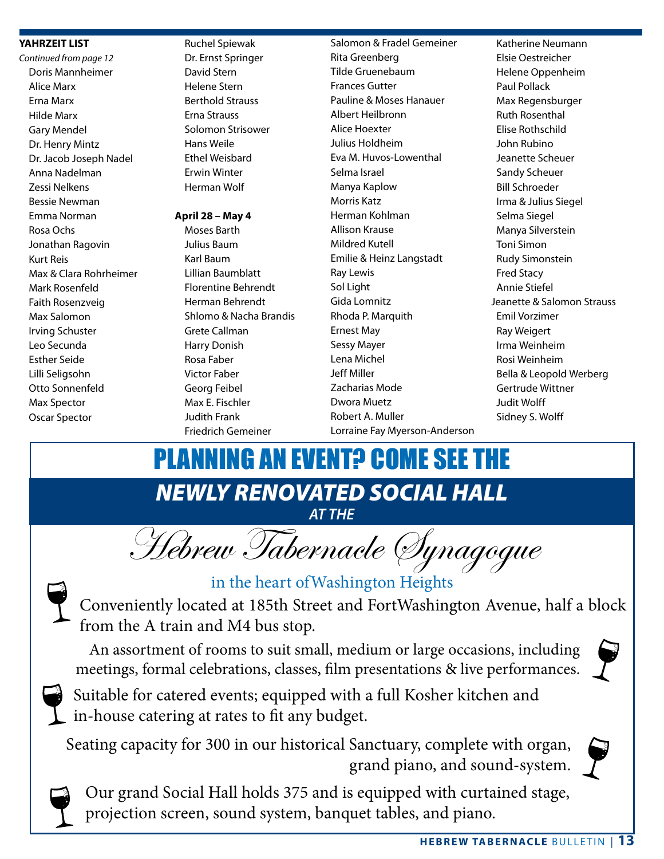## **YAHRZEIT LIST**

*Continued from page 12* Doris Mannheimer Alice Marx Erna Marx Hilde Marx Gary Mendel Dr. Henry Mintz Dr. Jacob Joseph Nadel Anna Nadelman Zessi Nelkens Bessie Newman Emma Norman Rosa Ochs Jonathan Ragovin Kurt Reis Max & Clara Rohrheimer Mark Rosenfeld Faith Rosenzveig Max Salomon Irving Schuster Leo Secunda Esther Seide Lilli Seligsohn Otto Sonnenfeld Max Spector Oscar Spector

 Ruchel Spiewak Dr. Ernst Springer David Stern Helene Stern Berthold Strauss Erna Strauss Solomon Strisower Hans Weile Ethel Weisbard Erwin Winter Herman Wolf

## **April 28 – May 4**

Moses Barth Julius Baum Karl Baum Lillian Baumblatt Florentine Behrendt Herman Behrendt Shlomo & Nacha Brandis Grete Callman Harry Donish Rosa Faber Victor Faber Georg Feibel Max E. Fischler Judith Frank Friedrich Gemeiner

Salomon & Fradel Gemeiner Rita Greenberg Tilde Gruenebaum Frances Gutter Pauline & Moses Hanauer Albert Heilbronn Alice Hoexter Julius Holdheim Eva M. Huvos-Lowenthal Selma Israel Manya Kaplow Morris Katz Herman Kohlman Allison Krause Mildred Kutell Emilie & Heinz Langstadt Ray Lewis Sol Light Gida Lomnitz Rhoda P. Marquith Ernest May Sessy Mayer Lena Michel Jeff Miller Zacharias Mode Dwora Muetz Robert A. Muller Lorraine Fay Myerson-Anderson

Katherine Neumann Elsie Oestreicher Helene Oppenheim Paul Pollack Max Regensburger Ruth Rosenthal Elise Rothschild John Rubino Jeanette Scheuer Sandy Scheuer Bill Schroeder Irma & Julius Siegel Selma Siegel Manya Silverstein Toni Simon Rudy Simonstein Fred Stacy Annie Stiefel Jeanette & Salomon Strauss Emil Vorzimer Ray Weigert Irma Weinheim Rosi Weinheim Bella & Leopold Werberg Gertrude Wittner Judit Wolff Sidney S. Wolff

*NEWLY RENOVATED SOCIAL HALL AT THE* PLANNING AN EVENT? COME SEE THE

Hebrew Tabernacle Synagogue



## in the heart ofWashington Heights

Conveniently located at 185th Street and FortWashington Avenue, half a block from the A train and M4 bus stop.

An assortment of rooms to suit small, medium or large occasions, including meetings, formal celebrations, classes, film presentations & live performances.





Suitable for catered events; equipped with a full Kosher kitchen and in-house catering at rates to fit any budget.

Seating capacity for 300 in our historical Sanctuary, complete with organ, grand piano, and sound-system.



Our grand Social Hall holds 375 and is equipped with curtained stage, projection screen, sound system, banquet tables, and piano.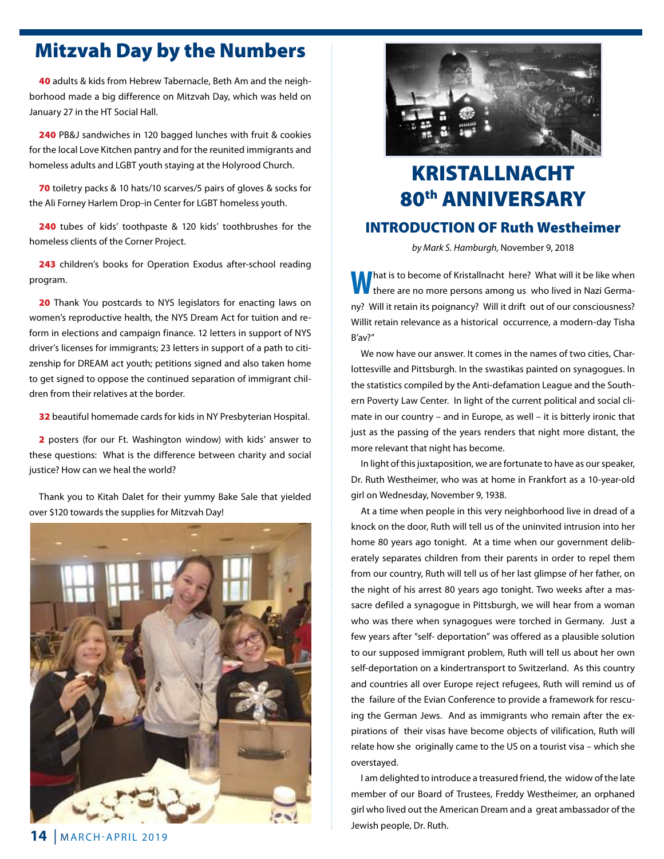# Mitzvah Day by the Numbers

40 adults & kids from Hebrew Tabernacle, Beth Am and the neighborhood made a big difference on Mitzvah Day, which was held on January 27 in the HT Social Hall.

240 PB&J sandwiches in 120 bagged lunches with fruit & cookies for the local Love Kitchen pantry and for the reunited immigrants and homeless adults and LGBT youth staying at the Holyrood Church.

70 toiletry packs & 10 hats/10 scarves/5 pairs of gloves & socks for the Ali Forney Harlem Drop-in Center for LGBT homeless youth.

240 tubes of kids' toothpaste & 120 kids' toothbrushes for the homeless clients of the Corner Project.

243 children's books for Operation Exodus after-school reading program.

20 Thank You postcards to NYS legislators for enacting laws on women's reproductive health, the NYS Dream Act for tuition and reform in elections and campaign finance. 12 letters in support of NYS driver's licenses for immigrants; 23 letters in support of a path to citizenship for DREAM act youth; petitions signed and also taken home to get signed to oppose the continued separation of immigrant children from their relatives at the border.

32 beautiful homemade cards for kids in NY Presbyterian Hospital.

2 posters (for our Ft. Washington window) with kids' answer to these questions: What is the difference between charity and social justice? How can we heal the world?

Thank you to Kitah Dalet for their yummy Bake Sale that yielded over \$120 towards the supplies for Mitzvah Day!





# KRISTALLNACHT 80th ANNIVERSARY INTRODUCTION OF Ruth Westheimer

*by Mark S. Hamburgh,* November 9, 2018

**hat is to become of Kristallnacht here? What will it be like when** there are no more persons among us who lived in Nazi Germany? Will it retain its poignancy? Will it drift out of our consciousness? Willit retain relevance as a historical occurrence, a modern-day Tisha B'av?"

We now have our answer. It comes in the names of two cities, Charlottesville and Pittsburgh. In the swastikas painted on synagogues. In the statistics compiled by the Anti-defamation League and the Southern Poverty Law Center. In light of the current political and social climate in our country – and in Europe, as well – it is bitterly ironic that just as the passing of the years renders that night more distant, the more relevant that night has become.

In light of this juxtaposition, we are fortunate to have as our speaker, Dr. Ruth Westheimer, who was at home in Frankfort as a 10-year-old girl on Wednesday, November 9, 1938.

At a time when people in this very neighborhood live in dread of a knock on the door, Ruth will tell us of the uninvited intrusion into her home 80 years ago tonight. At a time when our government deliberately separates children from their parents in order to repel them from our country, Ruth will tell us of her last glimpse of her father, on the night of his arrest 80 years ago tonight. Two weeks after a massacre defiled a synagogue in Pittsburgh, we will hear from a woman who was there when synagogues were torched in Germany. Just a few years after "self- deportation" was offered as a plausible solution to our supposed immigrant problem, Ruth will tell us about her own self-deportation on a kindertransport to Switzerland. As this country and countries all over Europe reject refugees, Ruth will remind us of the failure of the Evian Conference to provide a framework for rescuing the German Jews. And as immigrants who remain after the expirations of their visas have become objects of vilification, Ruth will relate how she originally came to the US on a tourist visa – which she overstayed.

I am delighted to introduce a treasured friend, the widow of the late member of our Board of Trustees, Freddy Westheimer, an orphaned girl who lived out the American Dream and a great ambassador of the Jewish people, Dr. Ruth.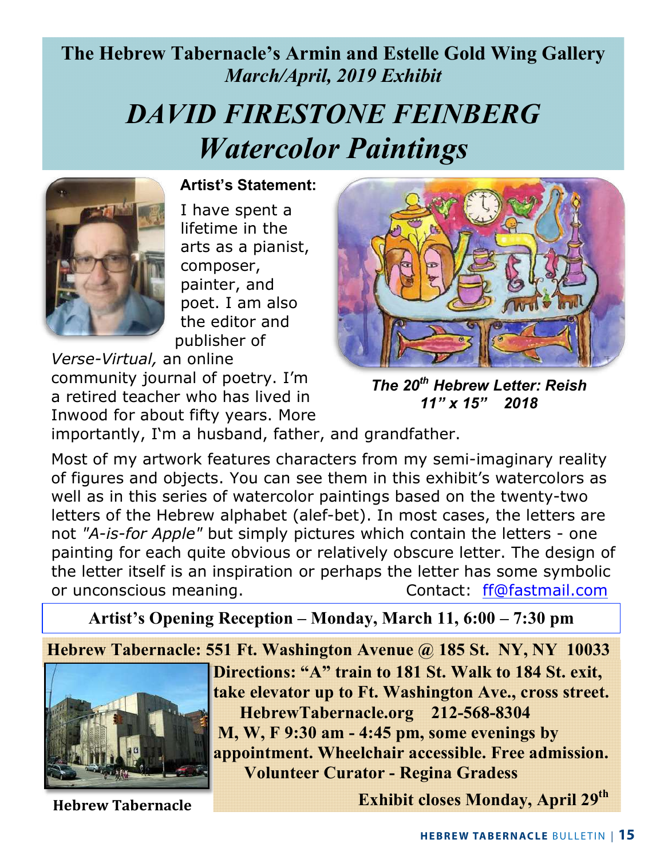# **The Hebrew Tabernacle's Armin and Estelle Gold Wing Gallery** *March/April, 2019 Exhibit*

# *DAVID FIRESTONE FEINBERG Watercolor Paintings*



 **Artist's Statement:**

I have spent a lifetime in the arts as a pianist, composer, painter, and poet. I am also the editor and publisher of

*Verse-Virtual,* an online community journal of poetry. I'm a retired teacher who has lived in Inwood for about fifty years. More



*The 20th Hebrew Letter: Reish 11" x 15" 2018*

importantly, I'm a husband, father, and grandfather.

Most of my artwork features characters from my semi-imaginary reality of figures and objects. You can see them in this exhibit's watercolors as well as in this series of watercolor paintings based on the twenty-two letters of the Hebrew alphabet (alef-bet). In most cases, the letters are not *"A-is-for Apple"* but simply pictures which contain the letters - one painting for each quite obvious or relatively obscure letter. The design of the letter itself is an inspiration or perhaps the letter has some symbolic or unconscious meaning. The contact: ff@fastmail.com

**Artist's Opening Reception – Monday, March 11, 6:00 – 7:30 pm** 

**Hebrew Tabernacle: 551 Ft. Washington Avenue @ 185 St. NY, NY 10033**



**Hebrew Tabernacle**

**Directions: "A" train to 181 St. Walk to 184 St. exit, take elevator up to Ft. Washington Ave., cross street. HebrewTabernacle.org 212-568-8304 M, W, F 9:30 am - 4:45 pm, some evenings by appointment. Wheelchair accessible. Free admission. Volunteer Curator - Regina Gradess**

**Exhibit closes Monday, April 29th**